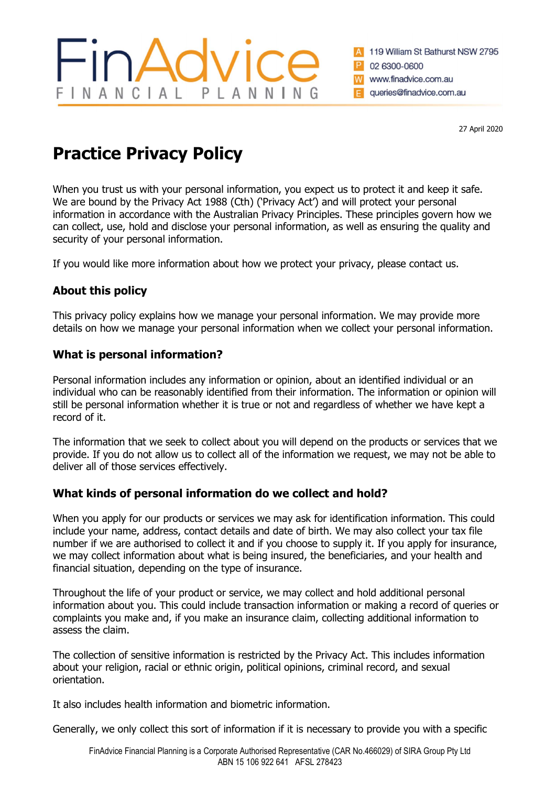# About this policy

This privacy policy explains how we manage your personal information. We may provide more details on how we manage your personal information when we collect your personal information.

When you trust us with your personal information, you expect us to protect it and keep it safe. We are bound by the Privacy Act 1988 (Cth) ('Privacy Act') and will protect your personal

# What is personal information?

Practice Privacy Policy

Personal information includes any information or opinion, about an identified individual or an individual who can be reasonably identified from their information. The information or opinion will still be personal information whether it is true or not and regardless of whether we have kept a record of it.

The information that we seek to collect about you will depend on the products or services that we provide. If you do not allow us to collect all of the information we request, we may not be able to deliver all of those services effectively.

## What kinds of personal information do we collect and hold?

When you apply for our products or services we may ask for identification information. This could include your name, address, contact details and date of birth. We may also collect your tax file number if we are authorised to collect it and if you choose to supply it. If you apply for insurance, we may collect information about what is being insured, the beneficiaries, and your health and financial situation, depending on the type of insurance.

Throughout the life of your product or service, we may collect and hold additional personal information about you. This could include transaction information or making a record of queries or complaints you make and, if you make an insurance claim, collecting additional information to assess the claim.

The collection of sensitive information is restricted by the Privacy Act. This includes information about your religion, racial or ethnic origin, political opinions, criminal record, and sexual orientation.

It also includes health information and biometric information.

Generally, we only collect this sort of information if it is necessary to provide you with a specific

27 April 2020

119 William St Bathurst NSW 2795

02 6300-0600

www.finadvice.com.au

queries@finadvice.com.au

INANCIAL PLANNIN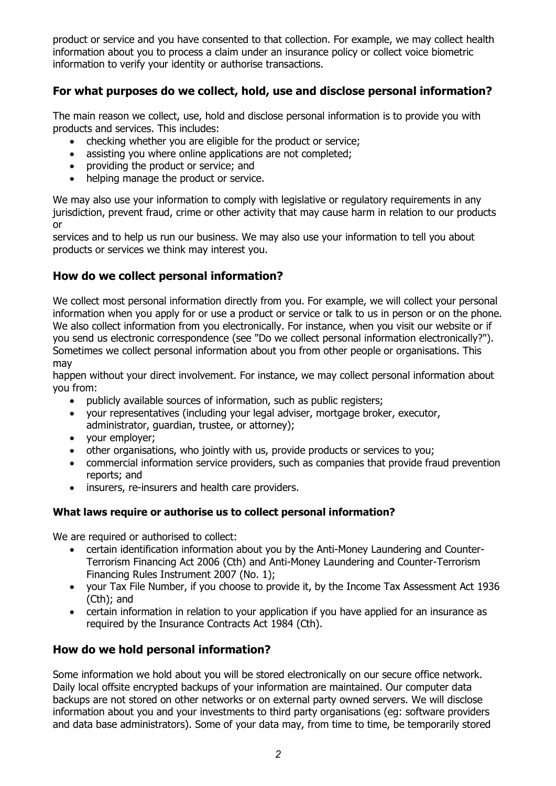product or service and you have consented to that collection. For example, we may collect health information about you to process a claim under an insurance policy or collect voice biometric information to verify your identity or authorise transactions.

## For what purposes do we collect, hold, use and disclose personal information?

The main reason we collect, use, hold and disclose personal information is to provide you with products and services. This includes:

- checking whether you are eligible for the product or service;
- assisting you where online applications are not completed;
- providing the product or service; and
- helping manage the product or service.

We may also use your information to comply with legislative or regulatory reguirements in any jurisdiction, prevent fraud, crime or other activity that may cause harm in relation to our products or

services and to help us run our business. We may also use your information to tell you about products or services we think may interest you.

## How do we collect personal information?

We collect most personal information directly from you. For example, we will collect your personal information when you apply for or use a product or service or talk to us in person or on the phone. We also collect information from you electronically. For instance, when you visit our website or if you send us electronic correspondence (see "Do we collect personal information electronically?"). Sometimes we collect personal information about you from other people or organisations. This may

happen without your direct involvement. For instance, we may collect personal information about you from:

- publicly available sources of information, such as public registers;
- your representatives (including your legal adviser, mortgage broker, executor, administrator, guardian, trustee, or attorney);
- your employer;
- other organisations, who jointly with us, provide products or services to you;
- commercial information service providers, such as companies that provide fraud prevention reports; and
- insurers, re-insurers and health care providers.

#### What laws require or authorise us to collect personal information?

We are required or authorised to collect:

- certain identification information about you by the Anti-Money Laundering and Counter-Terrorism Financing Act 2006 (Cth) and Anti-Money Laundering and Counter-Terrorism Financing Rules Instrument 2007 (No. 1);
- your Tax File Number, if you choose to provide it, by the Income Tax Assessment Act 1936 (Cth); and
- certain information in relation to your application if you have applied for an insurance as required by the Insurance Contracts Act 1984 (Cth).

## How do we hold personal information?

Some information we hold about you will be stored electronically on our secure office network. Daily local offsite encrypted backups of your information are maintained. Our computer data backups are not stored on other networks or on external party owned servers. We will disclose information about you and your investments to third party organisations (eg: software providers and data base administrators). Some of your data may, from time to time, be temporarily stored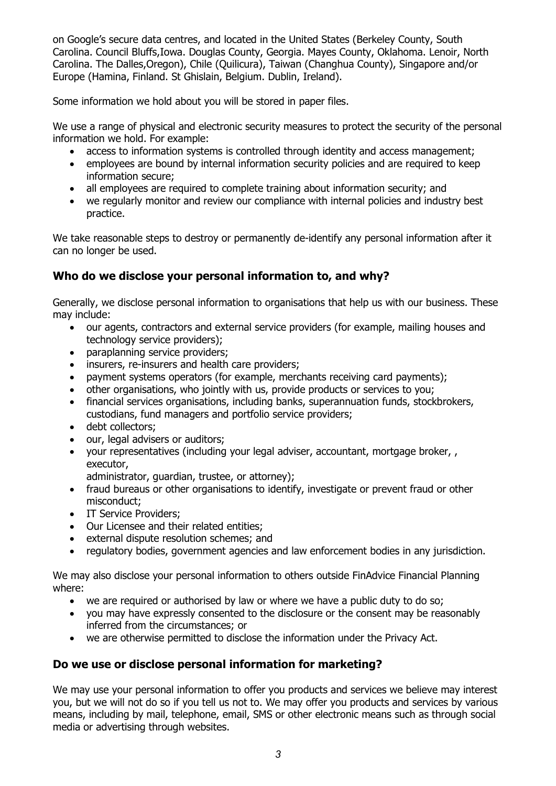on Google's secure data centres, and located in the United States (Berkeley County, South Carolina. Council Bluffs,Iowa. Douglas County, Georgia. Mayes County, Oklahoma. Lenoir, North Carolina. The Dalles,Oregon), Chile (Quilicura), Taiwan (Changhua County), Singapore and/or Europe (Hamina, Finland. St Ghislain, Belgium. Dublin, Ireland).

Some information we hold about you will be stored in paper files.

We use a range of physical and electronic security measures to protect the security of the personal information we hold. For example:

- access to information systems is controlled through identity and access management;
- employees are bound by internal information security policies and are required to keep information secure;
- all employees are required to complete training about information security; and
- we regularly monitor and review our compliance with internal policies and industry best practice.

We take reasonable steps to destroy or permanently de-identify any personal information after it can no longer be used.

## Who do we disclose your personal information to, and why?

Generally, we disclose personal information to organisations that help us with our business. These may include:

- our agents, contractors and external service providers (for example, mailing houses and technology service providers);
- paraplanning service providers;
- insurers, re-insurers and health care providers;
- payment systems operators (for example, merchants receiving card payments);
- other organisations, who jointly with us, provide products or services to you;
- financial services organisations, including banks, superannuation funds, stockbrokers, custodians, fund managers and portfolio service providers;
- debt collectors:
- our, legal advisers or auditors;
- your representatives (including your legal adviser, accountant, mortgage broker, , executor,

administrator, guardian, trustee, or attorney);

- fraud bureaus or other organisations to identify, investigate or prevent fraud or other misconduct;
- IT Service Providers;
- Our Licensee and their related entities;
- external dispute resolution schemes; and
- regulatory bodies, government agencies and law enforcement bodies in any jurisdiction.

We may also disclose your personal information to others outside FinAdvice Financial Planning where:

- we are required or authorised by law or where we have a public duty to do so;
- you may have expressly consented to the disclosure or the consent may be reasonably inferred from the circumstances; or
- we are otherwise permitted to disclose the information under the Privacy Act.

#### Do we use or disclose personal information for marketing?

We may use your personal information to offer you products and services we believe may interest you, but we will not do so if you tell us not to. We may offer you products and services by various means, including by mail, telephone, email, SMS or other electronic means such as through social media or advertising through websites.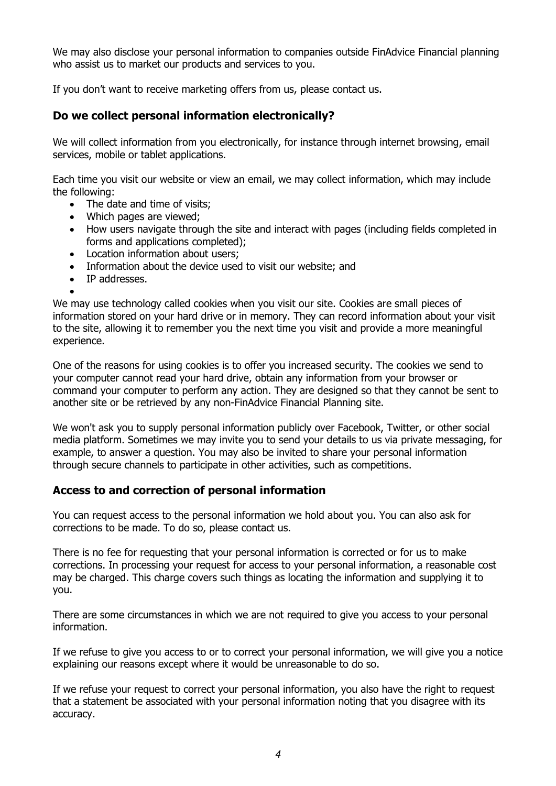We may also disclose your personal information to companies outside FinAdvice Financial planning who assist us to market our products and services to you.

If you don't want to receive marketing offers from us, please contact us.

### Do we collect personal information electronically?

We will collect information from you electronically, for instance through internet browsing, email services, mobile or tablet applications.

Each time you visit our website or view an email, we may collect information, which may include the following:

- The date and time of visits:
- Which pages are viewed;
- How users navigate through the site and interact with pages (including fields completed in forms and applications completed);
- Location information about users:
- Information about the device used to visit our website; and
- IP addresses.

 $\bullet$ We may use technology called cookies when you visit our site. Cookies are small pieces of information stored on your hard drive or in memory. They can record information about your visit to the site, allowing it to remember you the next time you visit and provide a more meaningful experience.

One of the reasons for using cookies is to offer you increased security. The cookies we send to your computer cannot read your hard drive, obtain any information from your browser or command your computer to perform any action. They are designed so that they cannot be sent to another site or be retrieved by any non-FinAdvice Financial Planning site.

We won't ask you to supply personal information publicly over Facebook, Twitter, or other social media platform. Sometimes we may invite you to send your details to us via private messaging, for example, to answer a question. You may also be invited to share your personal information through secure channels to participate in other activities, such as competitions.

#### Access to and correction of personal information

You can request access to the personal information we hold about you. You can also ask for corrections to be made. To do so, please contact us.

There is no fee for requesting that your personal information is corrected or for us to make corrections. In processing your request for access to your personal information, a reasonable cost may be charged. This charge covers such things as locating the information and supplying it to you.

There are some circumstances in which we are not required to give you access to your personal information.

If we refuse to give you access to or to correct your personal information, we will give you a notice explaining our reasons except where it would be unreasonable to do so.

If we refuse your request to correct your personal information, you also have the right to request that a statement be associated with your personal information noting that you disagree with its accuracy.